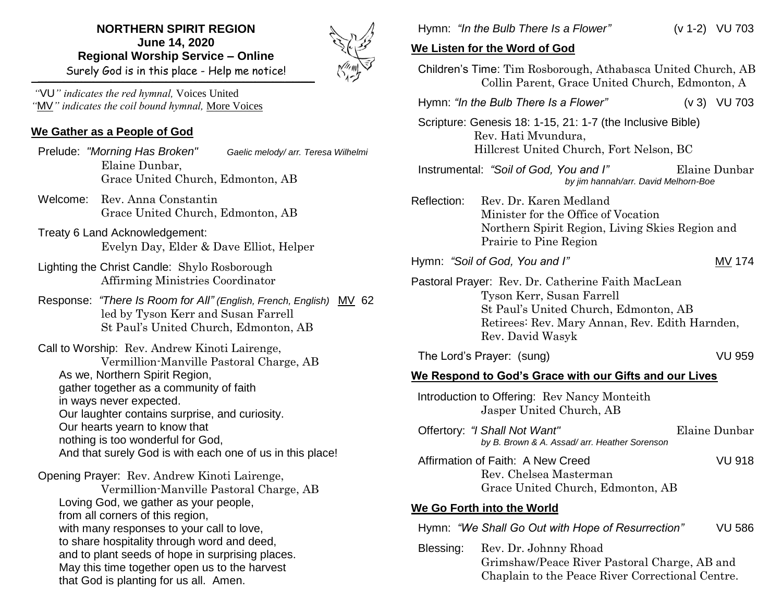## **NORTHERN SPIRIT REGION June 14, 2020 Regional Worship Service – Online** Surely God is in this place - Help me notice!

\_\_\_\_\_\_\_\_\_\_\_\_\_\_\_\_\_\_\_\_\_\_\_\_\_\_\_\_\_\_\_\_\_\_\_\_\_\_\_\_\_\_\_\_\_\_\_\_\_\_\_\_\_\_\_\_\_\_\_\_\_\_\_\_\_\_\_\_\_\_\_\_\_\_\_\_\_\_\_\_\_\_\_\_\_\_\_\_\_\_\_\_\_\_\_\_\_\_\_\_\_\_\_\_\_\_\_\_\_\_\_\_\_\_\_\_\_\_\_\_\_\_\_\_\_\_\_\_\_\_\_\_\_\_\_\_\_\_\_\_



*"*VU*" indicates the red hymnal,* Voices United *"*MV*" indicates the coil bound hymnal,* More Voices

## **We Gather as a People of God**

 Prelude: *"Morning Has Broken" Gaelic melody/ arr. Teresa Wilhelmi* Elaine Dunbar, Grace United Church, Edmonton, AB

- Welcome: Rev. Anna Constantin Grace United Church, Edmonton, AB
- Treaty 6 Land Acknowledgement: Evelyn Day, Elder & Dave Elliot, Helper
- Lighting the Christ Candle: Shylo Rosborough Affirming Ministries Coordinator
- Response: *"There Is Room for All" (English, French, English)* MV 62 led by Tyson Kerr and Susan Farrell St Paul's United Church, Edmonton, AB

Call to Worship: Rev. Andrew Kinoti Lairenge, Vermillion-Manville Pastoral Charge, AB As we, Northern Spirit Region, gather together as a community of faith in ways never expected. Our laughter contains surprise, and curiosity. Our hearts yearn to know that nothing is too wonderful for God, And that surely God is with each one of us in this place!

Opening Prayer: Rev. Andrew Kinoti Lairenge,

Vermillion-Manville Pastoral Charge, AB Loving God, we gather as your people, from all corners of this region, with many responses to your call to love, to share hospitality through word and deed, and to plant seeds of hope in surprising places. May this time together open us to the harvest that God is planting for us all. Amen.

Hymn: *"In the Bulb There Is a Flower"* (v 1-2) VU 703

## **We Listen for the Word of God**

|                                                        |                                                                                                                                        | <b><i>ING LISIGHTOF HIG WORD OF GOD</i></b>                                                                                                                                                   |  |                |  |
|--------------------------------------------------------|----------------------------------------------------------------------------------------------------------------------------------------|-----------------------------------------------------------------------------------------------------------------------------------------------------------------------------------------------|--|----------------|--|
|                                                        |                                                                                                                                        | Children's Time: Tim Rosborough, Athabasca United Church, AB<br>Collin Parent, Grace United Church, Edmonton, A                                                                               |  |                |  |
|                                                        |                                                                                                                                        | Hymn: "In the Bulb There Is a Flower"                                                                                                                                                         |  | $(v 3)$ VU 703 |  |
|                                                        |                                                                                                                                        | Scripture: Genesis 18: 1-15, 21: 1-7 (the Inclusive Bible)<br>Rev. Hati Mvundura,<br>Hillcrest United Church, Fort Nelson, BC                                                                 |  |                |  |
|                                                        |                                                                                                                                        | Instrumental: "Soil of God, You and I"<br>by jim hannah/arr. David Melhorn-Boe                                                                                                                |  | Elaine Dunbar  |  |
|                                                        | Reflection:                                                                                                                            | Rev. Dr. Karen Medland<br>Minister for the Office of Vocation<br>Northern Spirit Region, Living Skies Region and<br>Prairie to Pine Region                                                    |  |                |  |
|                                                        |                                                                                                                                        | Hymn: "Soil of God, You and I"                                                                                                                                                                |  | MV 174         |  |
|                                                        |                                                                                                                                        | Pastoral Prayer: Rev. Dr. Catherine Faith MacLean<br>Tyson Kerr, Susan Farrell<br>St Paul's United Church, Edmonton, AB<br>Retirees: Rev. Mary Annan, Rev. Edith Harnden,<br>Rev. David Wasyk |  |                |  |
|                                                        |                                                                                                                                        | The Lord's Prayer: (sung)                                                                                                                                                                     |  | <b>VU 959</b>  |  |
| We Respond to God's Grace with our Gifts and our Lives |                                                                                                                                        |                                                                                                                                                                                               |  |                |  |
|                                                        |                                                                                                                                        | Introduction to Offering: Rev Nancy Monteith<br>Jasper United Church, AB                                                                                                                      |  |                |  |
|                                                        |                                                                                                                                        | Offertory: "I Shall Not Want"<br>by B. Brown & A. Assad/arr. Heather Sorenson                                                                                                                 |  | Elaine Dunbar  |  |
|                                                        |                                                                                                                                        | Affirmation of Faith: A New Creed<br>Rev. Chelsea Masterman<br>Grace United Church, Edmonton, AB                                                                                              |  | <b>VU 918</b>  |  |
|                                                        |                                                                                                                                        | We Go Forth into the World                                                                                                                                                                    |  |                |  |
|                                                        |                                                                                                                                        | Hymn: "We Shall Go Out with Hope of Resurrection"                                                                                                                                             |  | <b>VU 586</b>  |  |
|                                                        | Blessing:<br>Rev. Dr. Johnny Rhoad<br>Grimshaw/Peace River Pastoral Charge, AB and<br>Chaplain to the Peace River Correctional Centre. |                                                                                                                                                                                               |  |                |  |